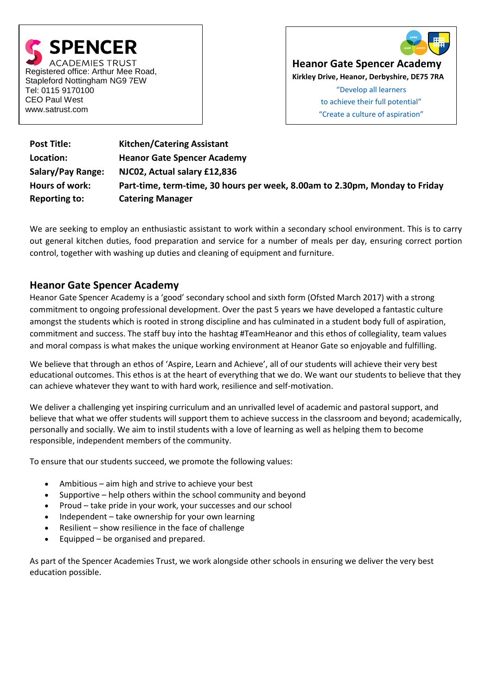



**Heanor Gate Spencer Academy**

**Kirkley Drive, Heanor, Derbyshire, DE75 7RA**

"Develop all learners to achieve their full potential" "Create a culture of aspiration"

| <b>Post Title:</b>   | <b>Kitchen/Catering Assistant</b>                                           |
|----------------------|-----------------------------------------------------------------------------|
| Location:            | <b>Heanor Gate Spencer Academy</b>                                          |
| Salary/Pay Range:    | NJC02, Actual salary £12,836                                                |
| Hours of work:       | Part-time, term-time, 30 hours per week, 8.00am to 2.30pm, Monday to Friday |
| <b>Reporting to:</b> | <b>Catering Manager</b>                                                     |

We are seeking to employ an enthusiastic assistant to work within a secondary school environment. This is to carry out general kitchen duties, food preparation and service for a number of meals per day, ensuring correct portion control, together with washing up duties and cleaning of equipment and furniture.

# **Heanor Gate Spencer Academy**

Heanor Gate Spencer Academy is a 'good' secondary school and sixth form (Ofsted March 2017) with a strong commitment to ongoing professional development. Over the past 5 years we have developed a fantastic culture amongst the students which is rooted in strong discipline and has culminated in a student body full of aspiration, commitment and success. The staff buy into the hashtag #TeamHeanor and this ethos of collegiality, team values and moral compass is what makes the unique working environment at Heanor Gate so enjoyable and fulfilling.

We believe that through an ethos of 'Aspire, Learn and Achieve', all of our students will achieve their very best educational outcomes. This ethos is at the heart of everything that we do. We want our students to believe that they can achieve whatever they want to with hard work, resilience and self-motivation.

We deliver a challenging yet inspiring curriculum and an unrivalled level of academic and pastoral support, and believe that what we offer students will support them to achieve success in the classroom and beyond; academically, personally and socially. We aim to instil students with a love of learning as well as helping them to become responsible, independent members of the community.

To ensure that our students succeed, we promote the following values:

- Ambitious aim high and strive to achieve your best
- Supportive help others within the school community and beyond
- Proud take pride in your work, your successes and our school
- Independent take ownership for your own learning
- Resilient show resilience in the face of challenge
- Equipped be organised and prepared.

As part of the Spencer Academies Trust, we work alongside other schools in ensuring we deliver the very best education possible.